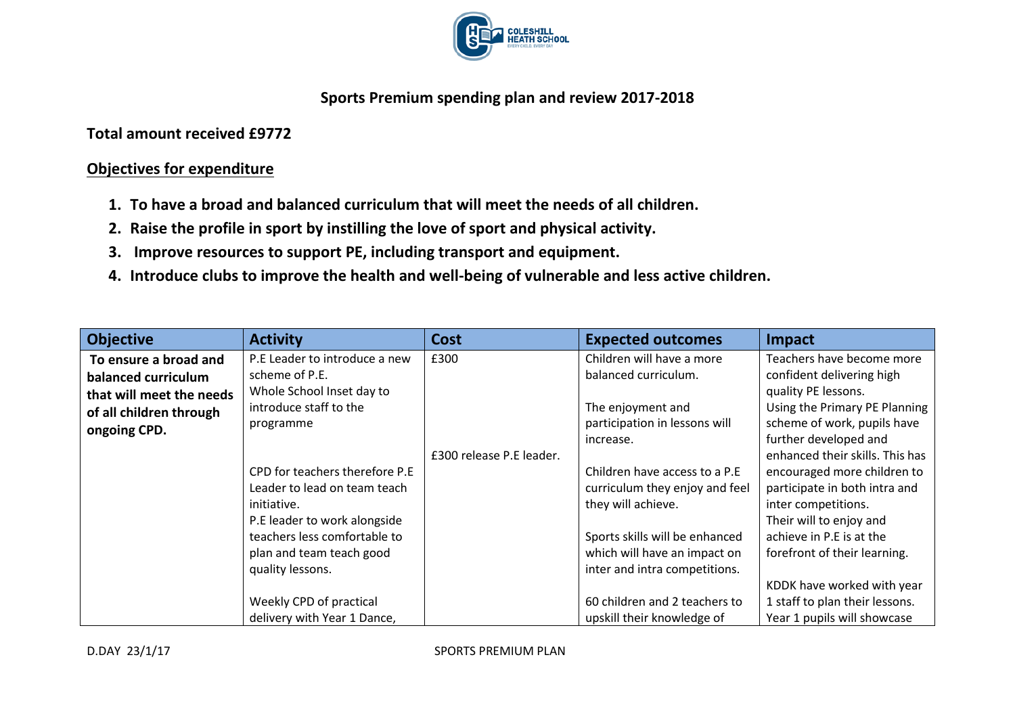

## **Sports Premium spending plan and review 2017-2018**

**Total amount received £9772**

## **Objectives for expenditure**

- **1. To have a broad and balanced curriculum that will meet the needs of all children.**
- **2. Raise the profile in sport by instilling the love of sport and physical activity.**
- **3. Improve resources to support PE, including transport and equipment.**
- **4. Introduce clubs to improve the health and well-being of vulnerable and less active children.**

| <b>Objective</b>         | <b>Activity</b>                                                                                                                                                                               | <b>Cost</b>              | <b>Expected outcomes</b>                                                                                                                                                                 | <b>Impact</b>                                                                                                                                                                                            |
|--------------------------|-----------------------------------------------------------------------------------------------------------------------------------------------------------------------------------------------|--------------------------|------------------------------------------------------------------------------------------------------------------------------------------------------------------------------------------|----------------------------------------------------------------------------------------------------------------------------------------------------------------------------------------------------------|
| To ensure a broad and    | P.E Leader to introduce a new                                                                                                                                                                 | £300                     | Children will have a more                                                                                                                                                                | Teachers have become more                                                                                                                                                                                |
| balanced curriculum      | scheme of P.E.                                                                                                                                                                                |                          | balanced curriculum.                                                                                                                                                                     | confident delivering high                                                                                                                                                                                |
| that will meet the needs | Whole School Inset day to                                                                                                                                                                     |                          |                                                                                                                                                                                          | quality PE lessons.                                                                                                                                                                                      |
| of all children through  | introduce staff to the                                                                                                                                                                        |                          | The enjoyment and                                                                                                                                                                        | Using the Primary PE Planning                                                                                                                                                                            |
| ongoing CPD.             | programme                                                                                                                                                                                     |                          | participation in lessons will                                                                                                                                                            | scheme of work, pupils have                                                                                                                                                                              |
|                          |                                                                                                                                                                                               | £300 release P.E leader. | increase.                                                                                                                                                                                | further developed and<br>enhanced their skills. This has                                                                                                                                                 |
|                          | CPD for teachers therefore P.E<br>Leader to lead on team teach<br>initiative.<br>P.E leader to work alongside<br>teachers less comfortable to<br>plan and team teach good<br>quality lessons. |                          | Children have access to a P.E<br>curriculum they enjoy and feel<br>they will achieve.<br>Sports skills will be enhanced<br>which will have an impact on<br>inter and intra competitions. | encouraged more children to<br>participate in both intra and<br>inter competitions.<br>Their will to enjoy and<br>achieve in P.E is at the<br>forefront of their learning.<br>KDDK have worked with year |
|                          | Weekly CPD of practical                                                                                                                                                                       |                          | 60 children and 2 teachers to                                                                                                                                                            | 1 staff to plan their lessons.                                                                                                                                                                           |
|                          | delivery with Year 1 Dance,                                                                                                                                                                   |                          | upskill their knowledge of                                                                                                                                                               | Year 1 pupils will showcase                                                                                                                                                                              |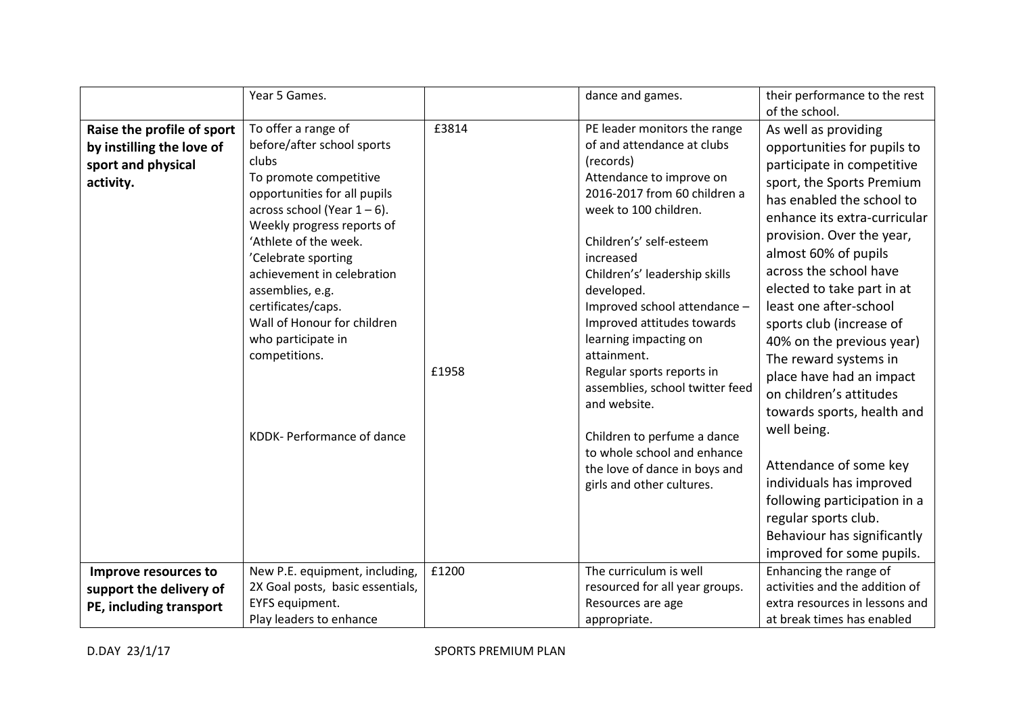|                            | Year 5 Games.                                     |       | dance and games.                                           | their performance to the rest  |
|----------------------------|---------------------------------------------------|-------|------------------------------------------------------------|--------------------------------|
|                            |                                                   |       |                                                            | of the school.                 |
| Raise the profile of sport | To offer a range of                               | £3814 | PE leader monitors the range                               | As well as providing           |
| by instilling the love of  | before/after school sports                        |       | of and attendance at clubs                                 | opportunities for pupils to    |
| sport and physical         | clubs                                             |       | (records)                                                  | participate in competitive     |
| activity.                  | To promote competitive                            |       | Attendance to improve on                                   | sport, the Sports Premium      |
|                            | opportunities for all pupils                      |       | 2016-2017 from 60 children a                               | has enabled the school to      |
|                            | across school (Year $1-6$ ).                      |       | week to 100 children.                                      | enhance its extra-curricular   |
|                            | Weekly progress reports of                        |       |                                                            | provision. Over the year,      |
|                            | 'Athlete of the week.                             |       | Children's' self-esteem                                    | almost 60% of pupils           |
|                            | 'Celebrate sporting<br>achievement in celebration |       | increased<br>Children's' leadership skills                 | across the school have         |
|                            | assemblies, e.g.                                  |       | developed.                                                 | elected to take part in at     |
|                            | certificates/caps.                                |       | Improved school attendance -                               | least one after-school         |
|                            | Wall of Honour for children                       |       | Improved attitudes towards                                 | sports club (increase of       |
|                            | who participate in                                |       | learning impacting on                                      | 40% on the previous year)      |
|                            | competitions.                                     |       | attainment.                                                | The reward systems in          |
|                            |                                                   | £1958 | Regular sports reports in                                  | place have had an impact       |
|                            |                                                   |       | assemblies, school twitter feed                            | on children's attitudes        |
|                            |                                                   |       | and website.                                               | towards sports, health and     |
|                            |                                                   |       |                                                            | well being.                    |
|                            | KDDK- Performance of dance                        |       | Children to perfume a dance                                |                                |
|                            |                                                   |       | to whole school and enhance                                | Attendance of some key         |
|                            |                                                   |       | the love of dance in boys and<br>girls and other cultures. | individuals has improved       |
|                            |                                                   |       |                                                            | following participation in a   |
|                            |                                                   |       |                                                            | regular sports club.           |
|                            |                                                   |       |                                                            | Behaviour has significantly    |
|                            |                                                   |       |                                                            | improved for some pupils.      |
| Improve resources to       | New P.E. equipment, including,                    | £1200 | The curriculum is well                                     | Enhancing the range of         |
| support the delivery of    | 2X Goal posts, basic essentials,                  |       | resourced for all year groups.                             | activities and the addition of |
|                            | EYFS equipment.                                   |       | Resources are age                                          | extra resources in lessons and |
| PE, including transport    | Play leaders to enhance                           |       | appropriate.                                               | at break times has enabled     |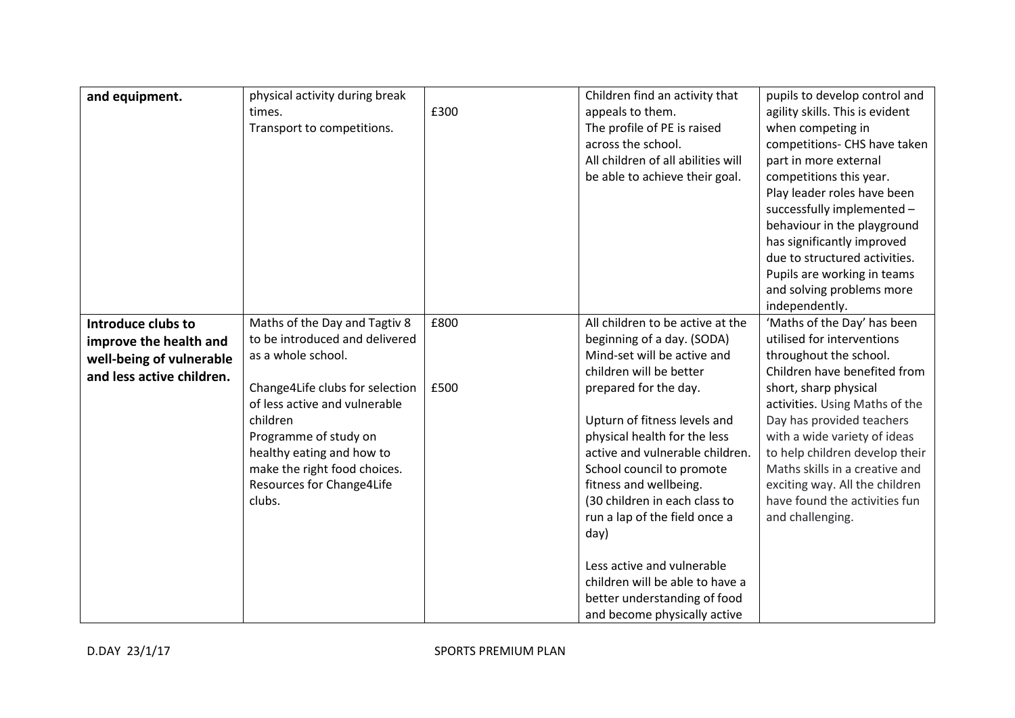| and equipment.            | physical activity during break  |      | Children find an activity that     | pupils to develop control and   |
|---------------------------|---------------------------------|------|------------------------------------|---------------------------------|
|                           | times.                          | £300 | appeals to them.                   | agility skills. This is evident |
|                           | Transport to competitions.      |      | The profile of PE is raised        | when competing in               |
|                           |                                 |      | across the school.                 | competitions- CHS have taken    |
|                           |                                 |      | All children of all abilities will | part in more external           |
|                           |                                 |      | be able to achieve their goal.     | competitions this year.         |
|                           |                                 |      |                                    | Play leader roles have been     |
|                           |                                 |      |                                    | successfully implemented -      |
|                           |                                 |      |                                    | behaviour in the playground     |
|                           |                                 |      |                                    | has significantly improved      |
|                           |                                 |      |                                    | due to structured activities.   |
|                           |                                 |      |                                    | Pupils are working in teams     |
|                           |                                 |      |                                    | and solving problems more       |
|                           |                                 |      |                                    | independently.                  |
| Introduce clubs to        | Maths of the Day and Tagtiv 8   | £800 | All children to be active at the   | 'Maths of the Day' has been     |
| improve the health and    | to be introduced and delivered  |      | beginning of a day. (SODA)         | utilised for interventions      |
| well-being of vulnerable  | as a whole school.              |      | Mind-set will be active and        | throughout the school.          |
| and less active children. |                                 |      | children will be better            | Children have benefited from    |
|                           | Change4Life clubs for selection | £500 | prepared for the day.              | short, sharp physical           |
|                           | of less active and vulnerable   |      |                                    | activities. Using Maths of the  |
|                           | children                        |      | Upturn of fitness levels and       | Day has provided teachers       |
|                           | Programme of study on           |      | physical health for the less       | with a wide variety of ideas    |
|                           | healthy eating and how to       |      | active and vulnerable children.    | to help children develop their  |
|                           | make the right food choices.    |      | School council to promote          | Maths skills in a creative and  |
|                           | Resources for Change4Life       |      | fitness and wellbeing.             | exciting way. All the children  |
|                           | clubs.                          |      | (30 children in each class to      | have found the activities fun   |
|                           |                                 |      | run a lap of the field once a      | and challenging.                |
|                           |                                 |      | day)                               |                                 |
|                           |                                 |      |                                    |                                 |
|                           |                                 |      | Less active and vulnerable         |                                 |
|                           |                                 |      | children will be able to have a    |                                 |
|                           |                                 |      | better understanding of food       |                                 |
|                           |                                 |      | and become physically active       |                                 |